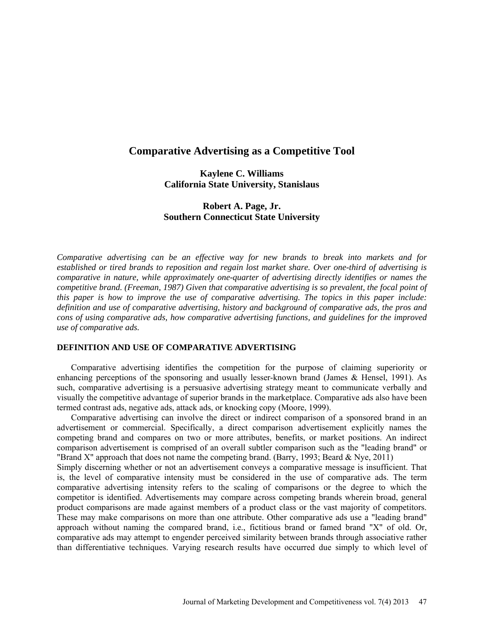# **Comparative Advertising as a Competitive Tool**

**Kaylene C. Williams California State University, Stanislaus**

# **Robert A. Page, Jr. Southern Connecticut State University**

*Comparative advertising can be an effective way for new brands to break into markets and for established or tired brands to reposition and regain lost market share. Over one-third of advertising is comparative in nature, while approximately one-quarter of advertising directly identifies or names the competitive brand. (Freeman, 1987) Given that comparative advertising is so prevalent, the focal point of this paper is how to improve the use of comparative advertising. The topics in this paper include: definition and use of comparative advertising, history and background of comparative ads, the pros and cons of using comparative ads, how comparative advertising functions, and guidelines for the improved use of comparative ads.*

#### **DEFINITION AND USE OF COMPARATIVE ADVERTISING**

Comparative advertising identifies the competition for the purpose of claiming superiority or enhancing perceptions of the sponsoring and usually lesser-known brand (James & Hensel, 1991). As such, comparative advertising is a persuasive advertising strategy meant to communicate verbally and visually the competitive advantage of superior brands in the marketplace. Comparative ads also have been termed contrast ads, negative ads, attack ads, or knocking copy (Moore, 1999).

Comparative advertising can involve the direct or indirect comparison of a sponsored brand in an advertisement or commercial. Specifically, a direct comparison advertisement explicitly names the competing brand and compares on two or more attributes, benefits, or market positions. An indirect comparison advertisement is comprised of an overall subtler comparison such as the "leading brand" or "Brand X" approach that does not name the competing brand. (Barry, 1993; Beard & Nye, 2011)

Simply discerning whether or not an advertisement conveys a comparative message is insufficient. That is, the level of comparative intensity must be considered in the use of comparative ads. The term comparative advertising intensity refers to the scaling of comparisons or the degree to which the competitor is identified. Advertisements may compare across competing brands wherein broad, general product comparisons are made against members of a product class or the vast majority of competitors. These may make comparisons on more than one attribute. Other comparative ads use a "leading brand" approach without naming the compared brand, i.e., fictitious brand or famed brand "X" of old. Or, comparative ads may attempt to engender perceived similarity between brands through associative rather than differentiative techniques. Varying research results have occurred due simply to which level of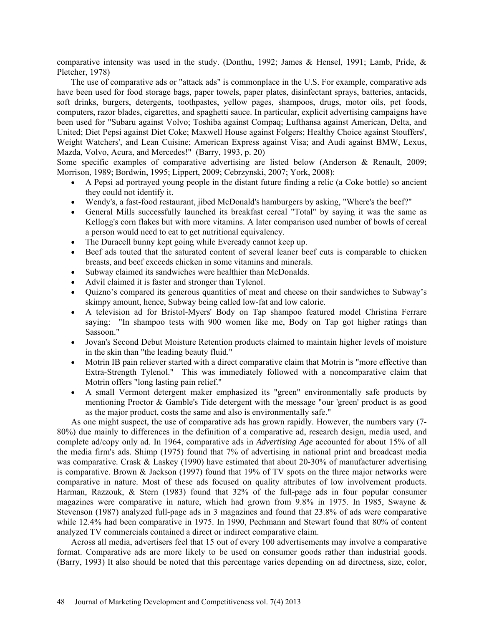comparative intensity was used in the study. (Donthu, 1992; James & Hensel, 1991; Lamb, Pride, & Pletcher, 1978)

The use of comparative ads or "attack ads" is commonplace in the U.S. For example, comparative ads have been used for food storage bags, paper towels, paper plates, disinfectant sprays, batteries, antacids, soft drinks, burgers, detergents, toothpastes, yellow pages, shampoos, drugs, motor oils, pet foods, computers, razor blades, cigarettes, and spaghetti sauce. In particular, explicit advertising campaigns have been used for "Subaru against Volvo; Toshiba against Compaq; Lufthansa against American, Delta, and United; Diet Pepsi against Diet Coke; Maxwell House against Folgers; Healthy Choice against Stouffers', Weight Watchers', and Lean Cuisine; American Express against Visa; and Audi against BMW, Lexus, Mazda, Volvo, Acura, and Mercedes!" (Barry, 1993, p. 20)

Some specific examples of comparative advertising are listed below (Anderson & Renault, 2009; Morrison, 1989; Bordwin, 1995; Lippert, 2009; Cebrzynski, 2007; York, 2008):

- A Pepsi ad portrayed young people in the distant future finding a relic (a Coke bottle) so ancient they could not identify it.
- Wendy's, a fast-food restaurant, jibed McDonald's hamburgers by asking, "Where's the beef?"
- General Mills successfully launched its breakfast cereal "Total" by saying it was the same as Kellogg's corn flakes but with more vitamins. A later comparison used number of bowls of cereal a person would need to eat to get nutritional equivalency.
- The Duracell bunny kept going while Eveready cannot keep up.
- Beef ads touted that the saturated content of several leaner beef cuts is comparable to chicken breasts, and beef exceeds chicken in some vitamins and minerals.
- Subway claimed its sandwiches were healthier than McDonalds.
- Advil claimed it is faster and stronger than Tylenol.
- Quizno's compared its generous quantities of meat and cheese on their sandwiches to Subway's skimpy amount, hence, Subway being called low-fat and low calorie.
- A television ad for Bristol-Myers' Body on Tap shampoo featured model Christina Ferrare saying: "In shampoo tests with 900 women like me, Body on Tap got higher ratings than Sassoon."
- Jovan's Second Debut Moisture Retention products claimed to maintain higher levels of moisture in the skin than "the leading beauty fluid."
- Motrin IB pain reliever started with a direct comparative claim that Motrin is "more effective than Extra-Strength Tylenol." This was immediately followed with a noncomparative claim that Motrin offers "long lasting pain relief."
- A small Vermont detergent maker emphasized its "green" environmentally safe products by mentioning Proctor & Gamble's Tide detergent with the message "our 'green' product is as good as the major product, costs the same and also is environmentally safe."

As one might suspect, the use of comparative ads has grown rapidly. However, the numbers vary (7- 80%) due mainly to differences in the definition of a comparative ad, research design, media used, and complete ad/copy only ad. In 1964, comparative ads in *Advertising Age* accounted for about 15% of all the media firm's ads. Shimp (1975) found that 7% of advertising in national print and broadcast media was comparative. Crask & Laskey (1990) have estimated that about 20-30% of manufacturer advertising is comparative. Brown & Jackson (1997) found that 19% of TV spots on the three major networks were comparative in nature. Most of these ads focused on quality attributes of low involvement products. Harman, Razzouk, & Stern (1983) found that 32% of the full-page ads in four popular consumer magazines were comparative in nature, which had grown from 9.8% in 1975. In 1985, Swayne & Stevenson (1987) analyzed full-page ads in 3 magazines and found that 23.8% of ads were comparative while 12.4% had been comparative in 1975. In 1990, Pechmann and Stewart found that 80% of content analyzed TV commercials contained a direct or indirect comparative claim.

Across all media, advertisers feel that 15 out of every 100 advertisements may involve a comparative format. Comparative ads are more likely to be used on consumer goods rather than industrial goods. (Barry, 1993) It also should be noted that this percentage varies depending on ad directness, size, color,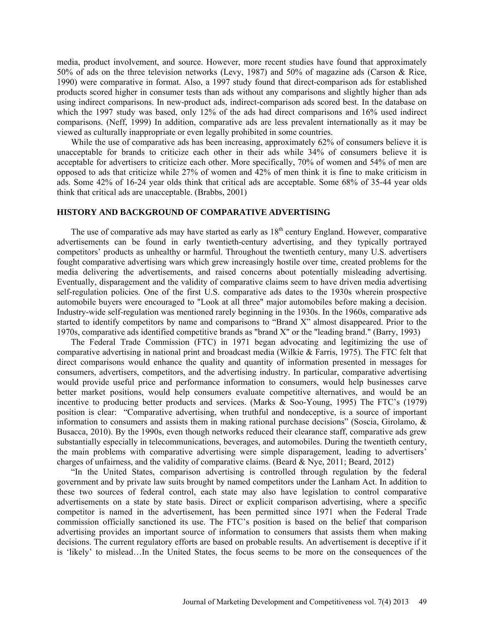media, product involvement, and source. However, more recent studies have found that approximately 50% of ads on the three television networks (Levy, 1987) and 50% of magazine ads (Carson & Rice, 1990) were comparative in format. Also, a 1997 study found that direct-comparison ads for established products scored higher in consumer tests than ads without any comparisons and slightly higher than ads using indirect comparisons. In new-product ads, indirect-comparison ads scored best. In the database on which the 1997 study was based, only 12% of the ads had direct comparisons and 16% used indirect comparisons. (Neff, 1999) In addition, comparative ads are less prevalent internationally as it may be viewed as culturally inappropriate or even legally prohibited in some countries.

While the use of comparative ads has been increasing, approximately 62% of consumers believe it is unacceptable for brands to criticize each other in their ads while 34% of consumers believe it is acceptable for advertisers to criticize each other. More specifically, 70% of women and 54% of men are opposed to ads that criticize while 27% of women and 42% of men think it is fine to make criticism in ads. Some 42% of 16-24 year olds think that critical ads are acceptable. Some 68% of 35-44 year olds think that critical ads are unacceptable. (Brabbs, 2001)

#### **HISTORY AND BACKGROUND OF COMPARATIVE ADVERTISING**

The use of comparative ads may have started as early as  $18<sup>th</sup>$  century England. However, comparative advertisements can be found in early twentieth-century advertising, and they typically portrayed competitors' products as unhealthy or harmful. Throughout the twentieth century, many U.S. advertisers fought comparative advertising wars which grew increasingly hostile over time, created problems for the media delivering the advertisements, and raised concerns about potentially misleading advertising. Eventually, disparagement and the validity of comparative claims seem to have driven media advertising self-regulation policies. One of the first U.S. comparative ads dates to the 1930s wherein prospective automobile buyers were encouraged to "Look at all three" major automobiles before making a decision. Industry-wide self-regulation was mentioned rarely beginning in the 1930s. In the 1960s, comparative ads started to identify competitors by name and comparisons to "Brand X" almost disappeared. Prior to the 1970s, comparative ads identified competitive brands as "brand X" or the "leading brand." (Barry, 1993)

The Federal Trade Commission (FTC) in 1971 began advocating and legitimizing the use of comparative advertising in national print and broadcast media (Wilkie & Farris, 1975). The FTC felt that direct comparisons would enhance the quality and quantity of information presented in messages for consumers, advertisers, competitors, and the advertising industry. In particular, comparative advertising would provide useful price and performance information to consumers, would help businesses carve better market positions, would help consumers evaluate competitive alternatives, and would be an incentive to producing better products and services. (Marks & Soo-Young, 1995) The FTC's (1979) position is clear: "Comparative advertising, when truthful and nondeceptive, is a source of important information to consumers and assists them in making rational purchase decisions" (Soscia, Girolamo, & Busacca, 2010). By the 1990s, even though networks reduced their clearance staff, comparative ads grew substantially especially in telecommunications, beverages, and automobiles. During the twentieth century, the main problems with comparative advertising were simple disparagement, leading to advertisers' charges of unfairness, and the validity of comparative claims. (Beard & Nye, 2011; Beard, 2012)

"In the United States, comparison advertising is controlled through regulation by the federal government and by private law suits brought by named competitors under the Lanham Act. In addition to these two sources of federal control, each state may also have legislation to control comparative advertisements on a state by state basis. Direct or explicit comparison advertising, where a specific competitor is named in the advertisement, has been permitted since 1971 when the Federal Trade commission officially sanctioned its use. The FTC's position is based on the belief that comparison advertising provides an important source of information to consumers that assists them when making decisions. The current regulatory efforts are based on probable results. An advertisement is deceptive if it is 'likely' to mislead…In the United States, the focus seems to be more on the consequences of the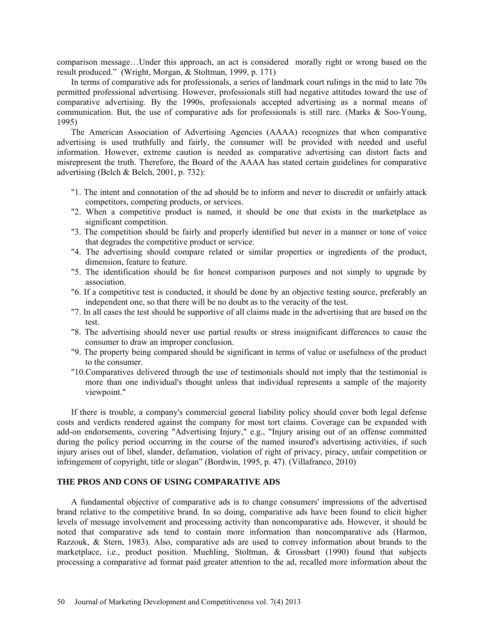comparison message…Under this approach, an act is considered morally right or wrong based on the result produced." (Wright, Morgan, & Stoltman, 1999, p. 171)

In terms of comparative ads for professionals, a series of landmark court rulings in the mid to late 70s permitted professional advertising. However, professionals still had negative attitudes toward the use of comparative advertising. By the 1990s, professionals accepted advertising as a normal means of communication. But, the use of comparative ads for professionals is still rare. (Marks & Soo-Young, 1995)

The American Association of Advertising Agencies (AAAA) recognizes that when comparative advertising is used truthfully and fairly, the consumer will be provided with needed and useful information. However, extreme caution is needed as comparative advertising can distort facts and misrepresent the truth. Therefore, the Board of the AAAA has stated certain guidelines for comparative advertising (Belch & Belch, 2001, p. 732):

- "1. The intent and connotation of the ad should be to inform and never to discredit or unfairly attack competitors, competing products, or services.
- "2. When a competitive product is named, it should be one that exists in the marketplace as significant competition.
- "3. The competition should be fairly and properly identified but never in a manner or tone of voice that degrades the competitive product or service.
- "4. The advertising should compare related or similar properties or ingredients of the product, dimension, feature to feature.
- "5. The identification should be for honest comparison purposes and not simply to upgrade by association.
- "6. If a competitive test is conducted, it should be done by an objective testing source, preferably an independent one, so that there will be no doubt as to the veracity of the test.
- "7. In all cases the test should be supportive of all claims made in the advertising that are based on the test.
- "8. The advertising should never use partial results or stress insignificant differences to cause the consumer to draw an improper conclusion.
- "9. The property being compared should be significant in terms of value or usefulness of the product to the consumer.
- "10.Comparatives delivered through the use of testimonials should not imply that the testimonial is more than one individual's thought unless that individual represents a sample of the majority viewpoint."

If there is trouble, a company's commercial general liability policy should cover both legal defense costs and verdicts rendered against the company for most tort claims. Coverage can be expanded with add-on endorsements, covering "Advertising Injury," e.g., "Injury arising out of an offense committed during the policy period occurring in the course of the named insured's advertising activities, if such injury arises out of libel, slander, defamation, violation of right of privacy, piracy, unfair competition or infringement of copyright, title or slogan" (Bordwin, 1995, p. 47). (Villafranco, 2010)

# **THE PROS AND CONS OF USING COMPARATIVE ADS**

A fundamental objective of comparative ads is to change consumers' impressions of the advertised brand relative to the competitive brand. In so doing, comparative ads have been found to elicit higher levels of message involvement and processing activity than noncomparative ads. However, it should be noted that comparative ads tend to contain more information than noncomparative ads (Harmon, Razzouk, & Stern, 1983). Also, comparative ads are used to convey information about brands to the marketplace, i.e., product position. Muehling, Stoltman, & Grossbart (1990) found that subjects processing a comparative ad format paid greater attention to the ad, recalled more information about the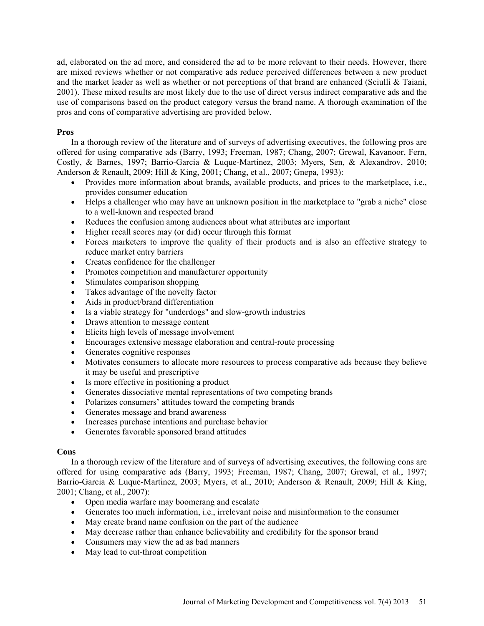ad, elaborated on the ad more, and considered the ad to be more relevant to their needs. However, there are mixed reviews whether or not comparative ads reduce perceived differences between a new product and the market leader as well as whether or not perceptions of that brand are enhanced (Sciulli & Taiani, 2001). These mixed results are most likely due to the use of direct versus indirect comparative ads and the use of comparisons based on the product category versus the brand name. A thorough examination of the pros and cons of comparative advertising are provided below.

# **Pros**

In a thorough review of the literature and of surveys of advertising executives, the following pros are offered for using comparative ads (Barry, 1993; Freeman, 1987; Chang, 2007; Grewal, Kavanoor, Fern, Costly, & Barnes, 1997; Barrio-Garcia & Luque-Martinez, 2003; Myers, Sen, & Alexandrov, 2010; Anderson & Renault, 2009; Hill & King, 2001; Chang, et al., 2007; Gnepa, 1993):

- Provides more information about brands, available products, and prices to the marketplace, i.e., provides consumer education
- Helps a challenger who may have an unknown position in the marketplace to "grab a niche" close to a well-known and respected brand
- Reduces the confusion among audiences about what attributes are important
- Higher recall scores may (or did) occur through this format
- Forces marketers to improve the quality of their products and is also an effective strategy to reduce market entry barriers
- Creates confidence for the challenger
- Promotes competition and manufacturer opportunity
- Stimulates comparison shopping
- Takes advantage of the novelty factor
- Aids in product/brand differentiation
- Is a viable strategy for "underdogs" and slow-growth industries
- Draws attention to message content
- Elicits high levels of message involvement
- Encourages extensive message elaboration and central-route processing
- Generates cognitive responses
- Motivates consumers to allocate more resources to process comparative ads because they believe it may be useful and prescriptive
- Is more effective in positioning a product
- Generates dissociative mental representations of two competing brands
- Polarizes consumers' attitudes toward the competing brands
- Generates message and brand awareness
- Increases purchase intentions and purchase behavior
- Generates favorable sponsored brand attitudes

# **Cons**

In a thorough review of the literature and of surveys of advertising executives, the following cons are offered for using comparative ads (Barry, 1993; Freeman, 1987; Chang, 2007; Grewal, et al., 1997; Barrio-Garcia & Luque-Martinez, 2003; Myers, et al., 2010; Anderson & Renault, 2009; Hill & King, 2001; Chang, et al., 2007):

- Open media warfare may boomerang and escalate
- Generates too much information, i.e., irrelevant noise and misinformation to the consumer
- May create brand name confusion on the part of the audience
- May decrease rather than enhance believability and credibility for the sponsor brand
- Consumers may view the ad as bad manners
- May lead to cut-throat competition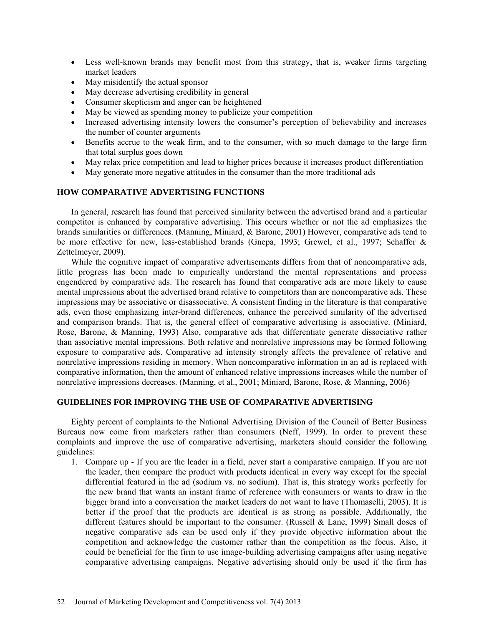- Less well-known brands may benefit most from this strategy, that is, weaker firms targeting market leaders
- May misidentify the actual sponsor
- May decrease advertising credibility in general
- Consumer skepticism and anger can be heightened
- May be viewed as spending money to publicize your competition
- Increased advertising intensity lowers the consumer's perception of believability and increases the number of counter arguments
- Benefits accrue to the weak firm, and to the consumer, with so much damage to the large firm that total surplus goes down
- May relax price competition and lead to higher prices because it increases product differentiation
- May generate more negative attitudes in the consumer than the more traditional ads

### **HOW COMPARATIVE ADVERTISING FUNCTIONS**

In general, research has found that perceived similarity between the advertised brand and a particular competitor is enhanced by comparative advertising. This occurs whether or not the ad emphasizes the brands similarities or differences. (Manning, Miniard, & Barone, 2001) However, comparative ads tend to be more effective for new, less-established brands (Gnepa, 1993; Grewel, et al., 1997; Schaffer & Zettelmeyer, 2009).

While the cognitive impact of comparative advertisements differs from that of noncomparative ads, little progress has been made to empirically understand the mental representations and process engendered by comparative ads. The research has found that comparative ads are more likely to cause mental impressions about the advertised brand relative to competitors than are noncomparative ads. These impressions may be associative or disassociative. A consistent finding in the literature is that comparative ads, even those emphasizing inter-brand differences, enhance the perceived similarity of the advertised and comparison brands. That is, the general effect of comparative advertising is associative. (Miniard, Rose, Barone, & Manning, 1993) Also, comparative ads that differentiate generate dissociative rather than associative mental impressions. Both relative and nonrelative impressions may be formed following exposure to comparative ads. Comparative ad intensity strongly affects the prevalence of relative and nonrelative impressions residing in memory. When noncomparative information in an ad is replaced with comparative information, then the amount of enhanced relative impressions increases while the number of nonrelative impressions decreases. (Manning, et al., 2001; Miniard, Barone, Rose, & Manning, 2006)

#### **GUIDELINES FOR IMPROVING THE USE OF COMPARATIVE ADVERTISING**

Eighty percent of complaints to the National Advertising Division of the Council of Better Business Bureaus now come from marketers rather than consumers (Neff, 1999). In order to prevent these complaints and improve the use of comparative advertising, marketers should consider the following guidelines:

1. Compare up - If you are the leader in a field, never start a comparative campaign. If you are not the leader, then compare the product with products identical in every way except for the special differential featured in the ad (sodium vs. no sodium). That is, this strategy works perfectly for the new brand that wants an instant frame of reference with consumers or wants to draw in the bigger brand into a conversation the market leaders do not want to have (Thomaselli, 2003). It is better if the proof that the products are identical is as strong as possible. Additionally, the different features should be important to the consumer. (Russell & Lane, 1999) Small doses of negative comparative ads can be used only if they provide objective information about the competition and acknowledge the customer rather than the competition as the focus. Also, it could be beneficial for the firm to use image-building advertising campaigns after using negative comparative advertising campaigns. Negative advertising should only be used if the firm has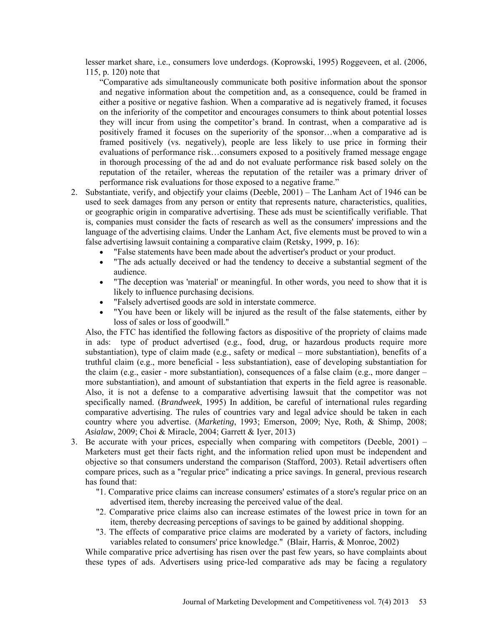lesser market share, i.e., consumers love underdogs. (Koprowski, 1995) Roggeveen, et al. (2006, 115, p. 120) note that

"Comparative ads simultaneously communicate both positive information about the sponsor and negative information about the competition and, as a consequence, could be framed in either a positive or negative fashion. When a comparative ad is negatively framed, it focuses on the inferiority of the competitor and encourages consumers to think about potential losses they will incur from using the competitor's brand. In contrast, when a comparative ad is positively framed it focuses on the superiority of the sponsor…when a comparative ad is framed positively (vs. negatively), people are less likely to use price in forming their evaluations of performance risk…consumers exposed to a positively framed message engage in thorough processing of the ad and do not evaluate performance risk based solely on the reputation of the retailer, whereas the reputation of the retailer was a primary driver of performance risk evaluations for those exposed to a negative frame."

- 2. Substantiate, verify, and objectify your claims (Deeble, 2001) The Lanham Act of 1946 can be used to seek damages from any person or entity that represents nature, characteristics, qualities, or geographic origin in comparative advertising. These ads must be scientifically verifiable. That is, companies must consider the facts of research as well as the consumers' impressions and the language of the advertising claims. Under the Lanham Act, five elements must be proved to win a false advertising lawsuit containing a comparative claim (Retsky, 1999, p. 16):
	- "False statements have been made about the advertiser's product or your product.
	- "The ads actually deceived or had the tendency to deceive a substantial segment of the audience.
	- "The deception was 'material' or meaningful. In other words, you need to show that it is likely to influence purchasing decisions.
	- "Falsely advertised goods are sold in interstate commerce.
	- "You have been or likely will be injured as the result of the false statements, either by loss of sales or loss of goodwill."

Also, the FTC has identified the following factors as dispositive of the propriety of claims made in ads: type of product advertised (e.g., food, drug, or hazardous products require more substantiation), type of claim made (e.g., safety or medical – more substantiation), benefits of a truthful claim (e.g., more beneficial - less substantiation), ease of developing substantiation for the claim (e.g., easier - more substantiation), consequences of a false claim (e.g., more danger – more substantiation), and amount of substantiation that experts in the field agree is reasonable. Also, it is not a defense to a comparative advertising lawsuit that the competitor was not specifically named. (*Brandweek*, 1995) In addition, be careful of international rules regarding comparative advertising. The rules of countries vary and legal advice should be taken in each country where you advertise. (*Marketing*, 1993; Emerson, 2009; Nye, Roth, & Shimp, 2008; *Asialaw*, 2009; Choi & Miracle, 2004; Garrett & Iyer, 2013)

- 3. Be accurate with your prices, especially when comparing with competitors (Deeble,  $2001$ ) Marketers must get their facts right, and the information relied upon must be independent and objective so that consumers understand the comparison (Stafford, 2003). Retail advertisers often compare prices, such as a "regular price" indicating a price savings. In general, previous research has found that:
	- "1. Comparative price claims can increase consumers' estimates of a store's regular price on an advertised item, thereby increasing the perceived value of the deal.
	- "2. Comparative price claims also can increase estimates of the lowest price in town for an item, thereby decreasing perceptions of savings to be gained by additional shopping.
	- "3. The effects of comparative price claims are moderated by a variety of factors, including variables related to consumers' price knowledge." (Blair, Harris, & Monroe, 2002)

While comparative price advertising has risen over the past few years, so have complaints about these types of ads. Advertisers using price-led comparative ads may be facing a regulatory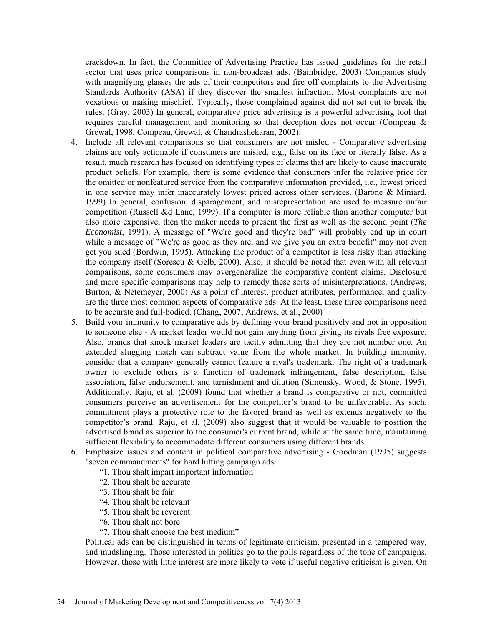crackdown. In fact, the Committee of Advertising Practice has issued guidelines for the retail sector that uses price comparisons in non-broadcast ads. (Bainbridge, 2003) Companies study with magnifying glasses the ads of their competitors and fire off complaints to the Advertising Standards Authority (ASA) if they discover the smallest infraction. Most complaints are not vexatious or making mischief. Typically, those complained against did not set out to break the rules. (Gray, 2003) In general, comparative price advertising is a powerful advertising tool that requires careful management and monitoring so that deception does not occur (Compeau & Grewal, 1998; Compeau, Grewal, & Chandrashekaran, 2002).

- 4. Include all relevant comparisons so that consumers are not misled Comparative advertising claims are only actionable if consumers are misled, e.g., false on its face or literally false. As a result, much research has focused on identifying types of claims that are likely to cause inaccurate product beliefs. For example, there is some evidence that consumers infer the relative price for the omitted or nonfeatured service from the comparative information provided, i.e., lowest priced in one service may infer inaccurately lowest priced across other services. (Barone & Miniard, 1999) In general, confusion, disparagement, and misrepresentation are used to measure unfair competition (Russell &d Lane, 1999). If a computer is more reliable than another computer but also more expensive, then the maker needs to present the first as well as the second point (*The Economist*, 1991). A message of "We're good and they're bad" will probably end up in court while a message of "We're as good as they are, and we give you an extra benefit" may not even get you sued (Bordwin, 1995). Attacking the product of a competitor is less risky than attacking the company itself (Sorescu & Gelb, 2000). Also, it should be noted that even with all relevant comparisons, some consumers may overgeneralize the comparative content claims. Disclosure and more specific comparisons may help to remedy these sorts of misinterpretations. (Andrews, Burton, & Netemeyer, 2000) As a point of interest, product attributes, performance, and quality are the three most common aspects of comparative ads. At the least, these three comparisons need to be accurate and full-bodied. (Chang, 2007; Andrews, et al., 2000)
- 5. Build your immunity to comparative ads by defining your brand positively and not in opposition to someone else - A market leader would not gain anything from giving its rivals free exposure. Also, brands that knock market leaders are tacitly admitting that they are not number one. An extended slugging match can subtract value from the whole market. In building immunity, consider that a company generally cannot feature a rival's trademark. The right of a trademark owner to exclude others is a function of trademark infringement, false description, false association, false endorsement, and tarnishment and dilution (Simensky, Wood, & Stone, 1995). Additionally, Raju, et al. (2009) found that whether a brand is comparative or not, committed consumers perceive an advertisement for the competitor's brand to be unfavorable. As such, commitment plays a protective role to the favored brand as well as extends negatively to the competitor's brand. Raju, et al. (2009) also suggest that it would be valuable to position the advertised brand as superior to the consumer's current brand, while at the same time, maintaining sufficient flexibility to accommodate different consumers using different brands.
- 6. Emphasize issues and content in political comparative advertising Goodman (1995) suggests "seven commandments" for hard hitting campaign ads:
	- "1. Thou shalt impart important information
	- "2. Thou shalt be accurate
	- "3. Thou shalt be fair
	- "4. Thou shalt be relevant
	- "5. Thou shalt be reverent
	- "6. Thou shalt not bore
	- "7. Thou shalt choose the best medium"

Political ads can be distinguished in terms of legitimate criticism, presented in a tempered way, and mudslinging. Those interested in politics go to the polls regardless of the tone of campaigns. However, those with little interest are more likely to vote if useful negative criticism is given. On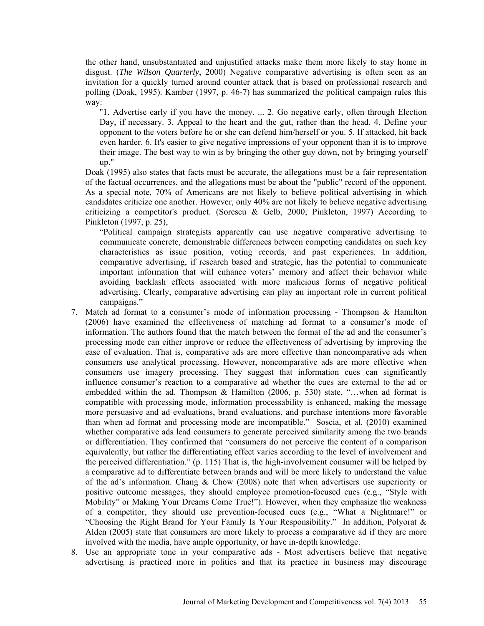the other hand, unsubstantiated and unjustified attacks make them more likely to stay home in disgust. (*The Wilson Quarterly*, 2000) Negative comparative advertising is often seen as an invitation for a quickly turned around counter attack that is based on professional research and polling (Doak, 1995). Kamber (1997, p. 46-7) has summarized the political campaign rules this way:

"1. Advertise early if you have the money. ... 2. Go negative early, often through Election Day, if necessary. 3. Appeal to the heart and the gut, rather than the head. 4. Define your opponent to the voters before he or she can defend him/herself or you. 5. If attacked, hit back even harder. 6. It's easier to give negative impressions of your opponent than it is to improve their image. The best way to win is by bringing the other guy down, not by bringing yourself up."

Doak (1995) also states that facts must be accurate, the allegations must be a fair representation of the factual occurrences, and the allegations must be about the "public" record of the opponent. As a special note, 70% of Americans are not likely to believe political advertising in which candidates criticize one another. However, only 40% are not likely to believe negative advertising criticizing a competitor's product. (Sorescu & Gelb, 2000; Pinkleton, 1997) According to Pinkleton (1997, p. 25),

"Political campaign strategists apparently can use negative comparative advertising to communicate concrete, demonstrable differences between competing candidates on such key characteristics as issue position, voting records, and past experiences. In addition, comparative advertising, if research based and strategic, has the potential to communicate important information that will enhance voters' memory and affect their behavior while avoiding backlash effects associated with more malicious forms of negative political advertising. Clearly, comparative advertising can play an important role in current political campaigns."

- 7. Match ad format to a consumer's mode of information processing Thompson & Hamilton (2006) have examined the effectiveness of matching ad format to a consumer's mode of information. The authors found that the match between the format of the ad and the consumer's processing mode can either improve or reduce the effectiveness of advertising by improving the ease of evaluation. That is, comparative ads are more effective than noncomparative ads when consumers use analytical processing. However, noncomparative ads are more effective when consumers use imagery processing. They suggest that information cues can significantly influence consumer's reaction to a comparative ad whether the cues are external to the ad or embedded within the ad. Thompson & Hamilton (2006, p. 530) state, "…when ad format is compatible with processing mode, information processability is enhanced, making the message more persuasive and ad evaluations, brand evaluations, and purchase intentions more favorable than when ad format and processing mode are incompatible." Soscia, et al. (2010) examined whether comparative ads lead consumers to generate perceived similarity among the two brands or differentiation. They confirmed that "consumers do not perceive the content of a comparison equivalently, but rather the differentiating effect varies according to the level of involvement and the perceived differentiation." (p. 115) That is, the high-involvement consumer will be helped by a comparative ad to differentiate between brands and will be more likely to understand the value of the ad's information. Chang & Chow (2008) note that when advertisers use superiority or positive outcome messages, they should employee promotion-focused cues (e.g., "Style with Mobility" or Making Your Dreams Come True!"). However, when they emphasize the weakness of a competitor, they should use prevention-focused cues (e.g., "What a Nightmare!" or "Choosing the Right Brand for Your Family Is Your Responsibility." In addition, Polyorat & Alden (2005) state that consumers are more likely to process a comparative ad if they are more involved with the media, have ample opportunity, or have in-depth knowledge.
- 8. Use an appropriate tone in your comparative ads Most advertisers believe that negative advertising is practiced more in politics and that its practice in business may discourage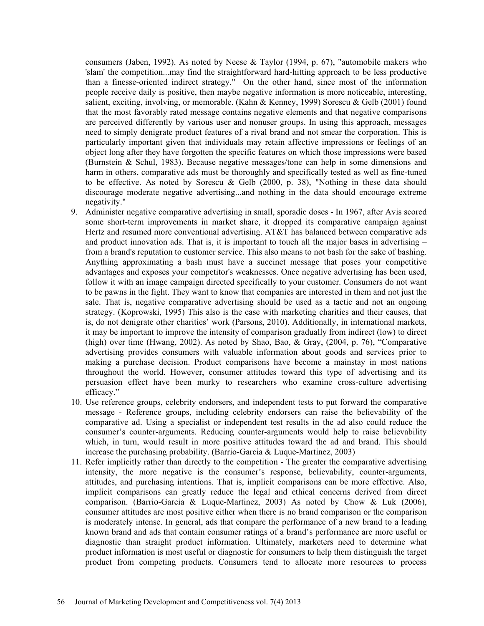consumers (Jaben, 1992). As noted by Neese & Taylor (1994, p. 67), "automobile makers who 'slam' the competition...may find the straightforward hard-hitting approach to be less productive than a finesse-oriented indirect strategy." On the other hand, since most of the information people receive daily is positive, then maybe negative information is more noticeable, interesting, salient, exciting, involving, or memorable. (Kahn & Kenney, 1999) Sorescu & Gelb (2001) found that the most favorably rated message contains negative elements and that negative comparisons are perceived differently by various user and nonuser groups. In using this approach, messages need to simply denigrate product features of a rival brand and not smear the corporation. This is particularly important given that individuals may retain affective impressions or feelings of an object long after they have forgotten the specific features on which those impressions were based (Burnstein & Schul, 1983). Because negative messages/tone can help in some dimensions and harm in others, comparative ads must be thoroughly and specifically tested as well as fine-tuned to be effective. As noted by Sorescu & Gelb (2000, p. 38), "Nothing in these data should discourage moderate negative advertising...and nothing in the data should encourage extreme negativity."

- 9. Administer negative comparative advertising in small, sporadic doses In 1967, after Avis scored some short-term improvements in market share, it dropped its comparative campaign against Hertz and resumed more conventional advertising. AT&T has balanced between comparative ads and product innovation ads. That is, it is important to touch all the major bases in advertising – from a brand's reputation to customer service. This also means to not bash for the sake of bashing. Anything approximating a bash must have a succinct message that poses your competitive advantages and exposes your competitor's weaknesses. Once negative advertising has been used, follow it with an image campaign directed specifically to your customer. Consumers do not want to be pawns in the fight. They want to know that companies are interested in them and not just the sale. That is, negative comparative advertising should be used as a tactic and not an ongoing strategy. (Koprowski, 1995) This also is the case with marketing charities and their causes, that is, do not denigrate other charities' work (Parsons, 2010). Additionally, in international markets, it may be important to improve the intensity of comparison gradually from indirect (low) to direct (high) over time (Hwang, 2002). As noted by Shao, Bao, & Gray, (2004, p. 76), "Comparative advertising provides consumers with valuable information about goods and services prior to making a purchase decision. Product comparisons have become a mainstay in most nations throughout the world. However, consumer attitudes toward this type of advertising and its persuasion effect have been murky to researchers who examine cross-culture advertising efficacy."
- 10. Use reference groups, celebrity endorsers, and independent tests to put forward the comparative message - Reference groups, including celebrity endorsers can raise the believability of the comparative ad. Using a specialist or independent test results in the ad also could reduce the consumer's counter-arguments. Reducing counter-arguments would help to raise believability which, in turn, would result in more positive attitudes toward the ad and brand. This should increase the purchasing probability. (Barrio-Garcia  $& \text{Luque-Martinez}, 2003)$ )
- 11. Refer implicitly rather than directly to the competition The greater the comparative advertising intensity, the more negative is the consumer's response, believability, counter-arguments, attitudes, and purchasing intentions. That is, implicit comparisons can be more effective. Also, implicit comparisons can greatly reduce the legal and ethical concerns derived from direct comparison. (Barrio-Garcia & Luque-Martinez, 2003) As noted by Chow & Luk (2006), consumer attitudes are most positive either when there is no brand comparison or the comparison is moderately intense. In general, ads that compare the performance of a new brand to a leading known brand and ads that contain consumer ratings of a brand's performance are more useful or diagnostic than straight product information. Ultimately, marketers need to determine what product information is most useful or diagnostic for consumers to help them distinguish the target product from competing products. Consumers tend to allocate more resources to process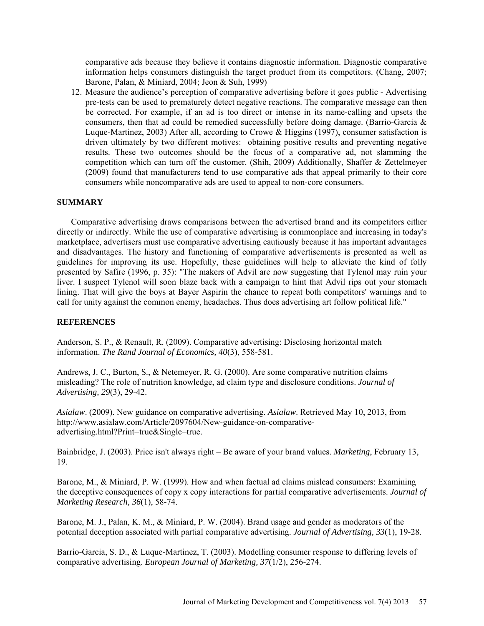comparative ads because they believe it contains diagnostic information. Diagnostic comparative information helps consumers distinguish the target product from its competitors. (Chang, 2007; Barone, Palan, & Miniard, 2004; Jeon & Suh, 1999)

12. Measure the audience's perception of comparative advertising before it goes public - Advertising pre-tests can be used to prematurely detect negative reactions. The comparative message can then be corrected. For example, if an ad is too direct or intense in its name-calling and upsets the consumers, then that ad could be remedied successfully before doing damage. (Barrio-Garcia & Luque-Martinez, 2003) After all, according to Crowe & Higgins (1997), consumer satisfaction is driven ultimately by two different motives: obtaining positive results and preventing negative results. These two outcomes should be the focus of a comparative ad, not slamming the competition which can turn off the customer. (Shih, 2009) Additionally, Shaffer & Zettelmeyer (2009) found that manufacturers tend to use comparative ads that appeal primarily to their core consumers while noncomparative ads are used to appeal to non-core consumers.

# **SUMMARY**

Comparative advertising draws comparisons between the advertised brand and its competitors either directly or indirectly. While the use of comparative advertising is commonplace and increasing in today's marketplace, advertisers must use comparative advertising cautiously because it has important advantages and disadvantages. The history and functioning of comparative advertisements is presented as well as guidelines for improving its use. Hopefully, these guidelines will help to alleviate the kind of folly presented by Safire (1996, p. 35): "The makers of Advil are now suggesting that Tylenol may ruin your liver. I suspect Tylenol will soon blaze back with a campaign to hint that Advil rips out your stomach lining. That will give the boys at Bayer Aspirin the chance to repeat both competitors' warnings and to call for unity against the common enemy, headaches. Thus does advertising art follow political life."

#### **REFERENCES**

Anderson, S. P., & Renault, R. (2009). Comparative advertising: Disclosing horizontal match information. *The Rand Journal of Economics, 40*(3), 558-581.

Andrews, J. C., Burton, S., & Netemeyer, R. G. (2000). Are some comparative nutrition claims misleading? The role of nutrition knowledge, ad claim type and disclosure conditions. *Journal of Advertising, 29*(3), 29-42.

*Asialaw*. (2009). New guidance on comparative advertising. *Asialaw*. Retrieved May 10, 2013, from http://www.asialaw.com/Article/2097604/New-guidance-on-comparativeadvertising.html?Print=true&Single=true.

Bainbridge, J. (2003). Price isn't always right – Be aware of your brand values. *Marketing*, February 13, 19.

Barone, M., & Miniard, P. W. (1999). How and when factual ad claims mislead consumers: Examining the deceptive consequences of copy x copy interactions for partial comparative advertisements. *Journal of Marketing Research, 36*(1), 58-74.

Barone, M. J., Palan, K. M., & Miniard, P. W. (2004). Brand usage and gender as moderators of the potential deception associated with partial comparative advertising. *Journal of Advertising, 33*(1), 19-28.

Barrio-Garcia, S. D., & Luque-Martinez, T. (2003). Modelling consumer response to differing levels of comparative advertising. *European Journal of Marketing, 37*(1/2), 256-274.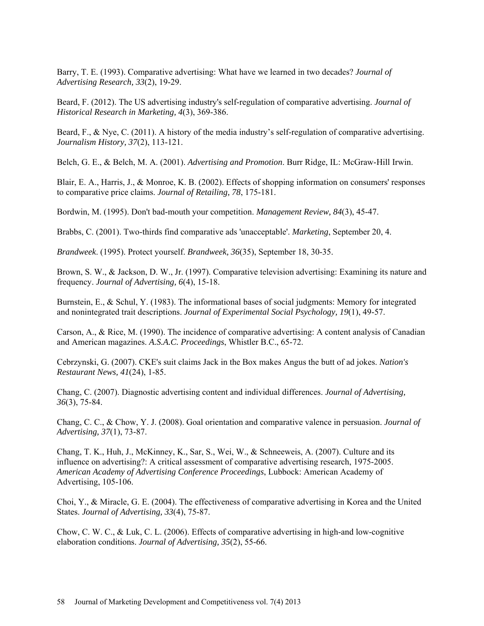Barry, T. E. (1993). Comparative advertising: What have we learned in two decades? *Journal of Advertising Research, 33*(2), 19-29.

Beard, F. (2012). The US advertising industry's self-regulation of comparative advertising. *Journal of Historical Research in Marketing, 4*(3), 369-386.

Beard, F., & Nye, C. (2011). A history of the media industry's self-regulation of comparative advertising. *Journalism History, 37*(2), 113-121.

Belch, G. E., & Belch, M. A. (2001). *Advertising and Promotion*. Burr Ridge, IL: McGraw-Hill Irwin.

Blair, E. A., Harris, J., & Monroe, K. B. (2002). Effects of shopping information on consumers' responses to comparative price claims. *Journal of Retailing, 78*, 175-181.

Bordwin, M. (1995). Don't bad-mouth your competition. *Management Review, 84*(3), 45-47.

Brabbs, C. (2001). Two-thirds find comparative ads 'unacceptable'. *Marketing*, September 20, 4.

*Brandweek*. (1995). Protect yourself. *Brandweek, 36*(35), September 18, 30-35.

Brown, S. W., & Jackson, D. W., Jr. (1997). Comparative television advertising: Examining its nature and frequency. *Journal of Advertising, 6*(4), 15-18.

Burnstein, E., & Schul, Y. (1983). The informational bases of social judgments: Memory for integrated and nonintegrated trait descriptions. *Journal of Experimental Social Psychology, 19*(1), 49-57.

Carson, A., & Rice, M. (1990). The incidence of comparative advertising: A content analysis of Canadian and American magazines. *A.S.A.C. Proceedings*, Whistler B.C., 65-72.

Cebrzynski, G. (2007). CKE's suit claims Jack in the Box makes Angus the butt of ad jokes. *Nation's Restaurant News, 41*(24), 1-85.

Chang, C. (2007). Diagnostic advertising content and individual differences. *Journal of Advertising, 36*(3), 75-84.

Chang, C. C., & Chow, Y. J. (2008). Goal orientation and comparative valence in persuasion. *Journal of Advertising, 37*(1), 73-87.

Chang, T. K., Huh, J., McKinney, K., Sar, S., Wei, W., & Schneeweis, A. (2007). Culture and its influence on advertising?: A critical assessment of comparative advertising research, 1975-2005. *American Academy of Advertising Conference Proceedings*, Lubbock: American Academy of Advertising, 105-106.

Choi, Y., & Miracle, G. E. (2004). The effectiveness of comparative advertising in Korea and the United States. *Journal of Advertising, 33*(4), 75-87.

Chow, C. W. C., & Luk, C. L. (2006). Effects of comparative advertising in high-and low-cognitive elaboration conditions. *Journal of Advertising, 35*(2), 55-66.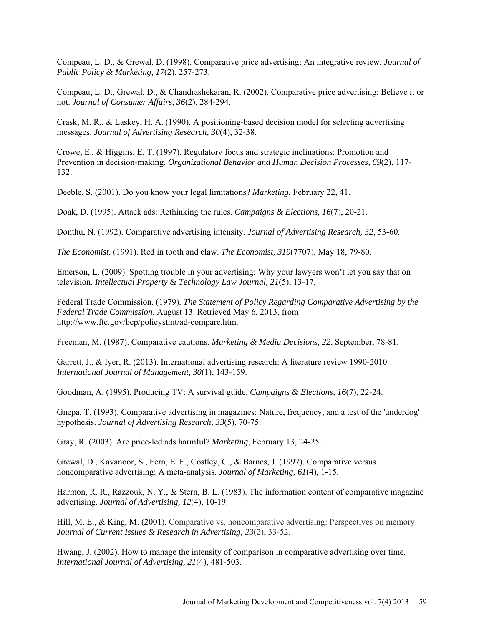Compeau, L. D., & Grewal, D. (1998). Comparative price advertising: An integrative review. *Journal of Public Policy & Marketing, 17*(2), 257-273.

Compeau, L. D., Grewal, D., & Chandrashekaran, R. (2002). Comparative price advertising: Believe it or not. *Journal of Consumer Affairs, 36*(2), 284-294.

Crask, M. R., & Laskey, H. A. (1990). A positioning-based decision model for selecting advertising messages. *Journal of Advertising Research, 30*(4), 32-38.

Crowe, E., & Higgins, E. T. (1997). Regulatory focus and strategic inclinations: Promotion and Prevention in decision-making. *Organizational Behavior and Human Decision Processes, 69*(2), 117- 132.

Deeble, S. (2001). Do you know your legal limitations? *Marketing*, February 22, 41.

Doak, D. (1995). Attack ads: Rethinking the rules. *Campaigns & Elections, 16*(7), 20-21.

Donthu, N. (1992). Comparative advertising intensity. *Journal of Advertising Research, 32*, 53-60.

*The Economist*. (1991). Red in tooth and claw. *The Economist, 319*(7707), May 18, 79-80.

Emerson, L. (2009). Spotting trouble in your advertising: Why your lawyers won't let you say that on television. *Intellectual Property & Technology Law Journal, 21*(5), 13-17.

Federal Trade Commission. (1979). *The Statement of Policy Regarding Comparative Advertising by the Federal Trade Commission*, August 13. Retrieved May 6, 2013, from http://www.ftc.gov/bcp/policystmt/ad-compare.htm.

Freeman, M. (1987). Comparative cautions. *Marketing & Media Decisions, 22*, September, 78-81.

Garrett, J., & Iver, R. (2013). International advertising research: A literature review 1990-2010. *International Journal of Management, 30*(1), 143-159.

Goodman, A. (1995). Producing TV: A survival guide. *Campaigns & Elections, 16*(7), 22-24.

Gnepa, T. (1993). Comparative advertising in magazines: Nature, frequency, and a test of the 'underdog' hypothesis. *Journal of Advertising Research, 33*(5), 70-75.

Gray, R. (2003). Are price-led ads harmful? *Marketing*, February 13, 24-25.

Grewal, D., Kavanoor, S., Fern, E. F., Costley, C., & Barnes, J. (1997). Comparative versus noncomparative advertising: A meta-analysis. *Journal of Marketing, 61*(4), 1-15.

Harmon, R. R., Razzouk, N. Y., & Stern, B. L. (1983). The information content of comparative magazine advertising. *Journal of Advertising, 12*(4), 10-19.

Hill, M. E., & King, M. (2001). Comparative vs. noncomparative advertising: Perspectives on memory. *Journal of Current Issues & Research in Advertising, 23*(2), 33-52.

Hwang, J. (2002). How to manage the intensity of comparison in comparative advertising over time. *International Journal of Advertising, 21*(4), 481-503.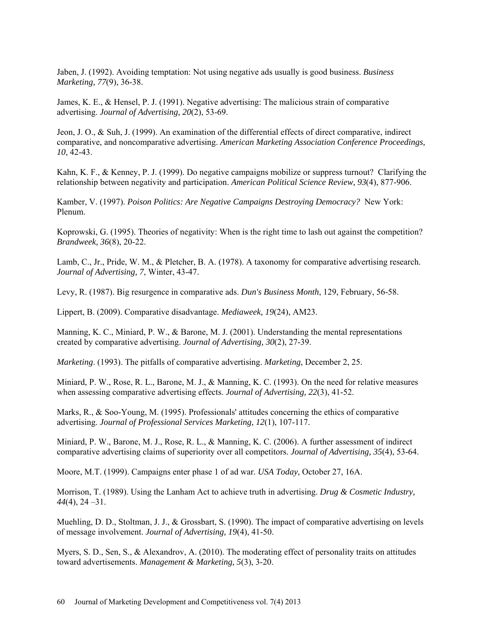Jaben, J. (1992). Avoiding temptation: Not using negative ads usually is good business. *Business Marketing, 77*(9), 36-38.

James, K. E., & Hensel, P. J. (1991). Negative advertising: The malicious strain of comparative advertising. *Journal of Advertising, 20*(2), 53-69.

Jeon, J. O., & Suh, J. (1999). An examination of the differential effects of direct comparative, indirect comparative, and noncomparative advertising. *American Marketing Association Conference Proceedings, 10*, 42-43.

Kahn, K. F., & Kenney, P. J. (1999). Do negative campaigns mobilize or suppress turnout? Clarifying the relationship between negativity and participation. *American Political Science Review, 93*(4), 877-906.

Kamber, V. (1997). *Poison Politics: Are Negative Campaigns Destroying Democracy?* New York: Plenum.

Koprowski, G. (1995). Theories of negativity: When is the right time to lash out against the competition? *Brandweek, 36*(8), 20-22.

Lamb, C., Jr., Pride, W. M., & Pletcher, B. A. (1978). A taxonomy for comparative advertising research. *Journal of Advertising, 7*, Winter, 43-47.

Levy, R. (1987). Big resurgence in comparative ads. *Dun's Business Month*, 129, February, 56-58.

Lippert, B. (2009). Comparative disadvantage. *Mediaweek, 19*(24), AM23.

Manning, K. C., Miniard, P. W., & Barone, M. J. (2001). Understanding the mental representations created by comparative advertising. *Journal of Advertising, 30*(2), 27-39.

*Marketing*. (1993). The pitfalls of comparative advertising. *Marketing*, December 2, 25.

Miniard, P. W., Rose, R. L., Barone, M. J., & Manning, K. C. (1993). On the need for relative measures when assessing comparative advertising effects. *Journal of Advertising, 22*(3), 41-52.

Marks, R., & Soo-Young, M. (1995). Professionals' attitudes concerning the ethics of comparative advertising. *Journal of Professional Services Marketing, 12*(1), 107-117.

Miniard, P. W., Barone, M. J., Rose, R. L., & Manning, K. C. (2006). A further assessment of indirect comparative advertising claims of superiority over all competitors. *Journal of Advertising, 35*(4), 53-64.

Moore, M.T. (1999). Campaigns enter phase 1 of ad war. *USA Today*, October 27, 16A.

Morrison, T. (1989). Using the Lanham Act to achieve truth in advertising. *Drug & Cosmetic Industry, 44*(4), 24 –31.

Muehling, D. D., Stoltman, J. J., & Grossbart, S. (1990). The impact of comparative advertising on levels of message involvement. *Journal of Advertising, 19*(4), 41-50.

Myers, S. D., Sen, S., & Alexandrov, A. (2010). The moderating effect of personality traits on attitudes toward advertisements. *Management & Marketing, 5*(3), 3-20.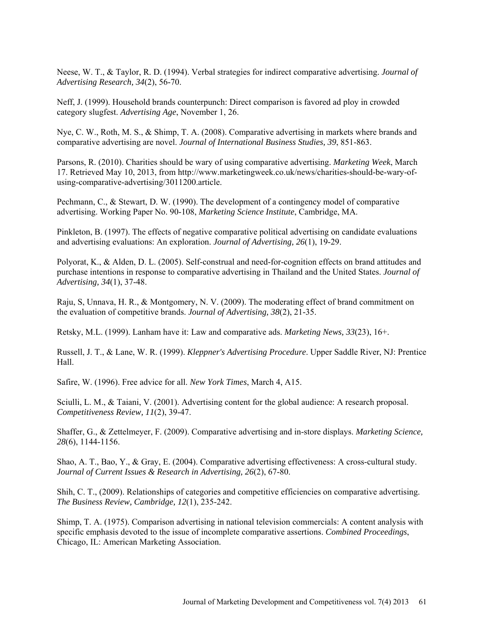Neese, W. T., & Taylor, R. D. (1994). Verbal strategies for indirect comparative advertising. *Journal of Advertising Research, 34*(2), 56-70.

Neff, J. (1999). Household brands counterpunch: Direct comparison is favored ad ploy in crowded category slugfest. *Advertising Age*, November 1, 26.

Nye, C. W., Roth, M. S., & Shimp, T. A. (2008). Comparative advertising in markets where brands and comparative advertising are novel. *Journal of International Business Studies, 39*, 851-863.

Parsons, R. (2010). Charities should be wary of using comparative advertising. *Marketing Week*, March 17. Retrieved May 10, 2013, from http://www.marketingweek.co.uk/news/charities-should-be-wary-ofusing-comparative-advertising/3011200.article.

Pechmann, C., & Stewart, D. W. (1990). The development of a contingency model of comparative advertising. Working Paper No. 90-108, *Marketing Science Institute*, Cambridge, MA.

Pinkleton, B. (1997). The effects of negative comparative political advertising on candidate evaluations and advertising evaluations: An exploration. *Journal of Advertising, 26*(1), 19-29.

Polyorat, K., & Alden, D. L. (2005). Self-construal and need-for-cognition effects on brand attitudes and purchase intentions in response to comparative advertising in Thailand and the United States. *Journal of Advertising, 34*(1), 37-48.

Raju, S, Unnava, H. R., & Montgomery, N. V. (2009). The moderating effect of brand commitment on the evaluation of competitive brands. *Journal of Advertising, 38*(2), 21-35.

Retsky, M.L. (1999). Lanham have it: Law and comparative ads. *Marketing News, 33*(23), 16+.

Russell, J. T., & Lane, W. R. (1999). *Kleppner's Advertising Procedure*. Upper Saddle River, NJ: Prentice Hall.

Safire, W. (1996). Free advice for all. *New York Times*, March 4, A15.

Sciulli, L. M., & Taiani, V. (2001). Advertising content for the global audience: A research proposal. *Competitiveness Review, 11*(2), 39-47.

Shaffer, G., & Zettelmeyer, F. (2009). Comparative advertising and in-store displays. *Marketing Science, 28*(6), 1144-1156.

Shao, A. T., Bao, Y., & Gray, E. (2004). Comparative advertising effectiveness: A cross-cultural study. *Journal of Current Issues & Research in Advertising, 26*(2), 67-80.

Shih, C. T., (2009). Relationships of categories and competitive efficiencies on comparative advertising. *The Business Review, Cambridge, 12*(1), 235-242.

Shimp, T. A. (1975). Comparison advertising in national television commercials: A content analysis with specific emphasis devoted to the issue of incomplete comparative assertions. *Combined Proceedings*, Chicago, IL: American Marketing Association.